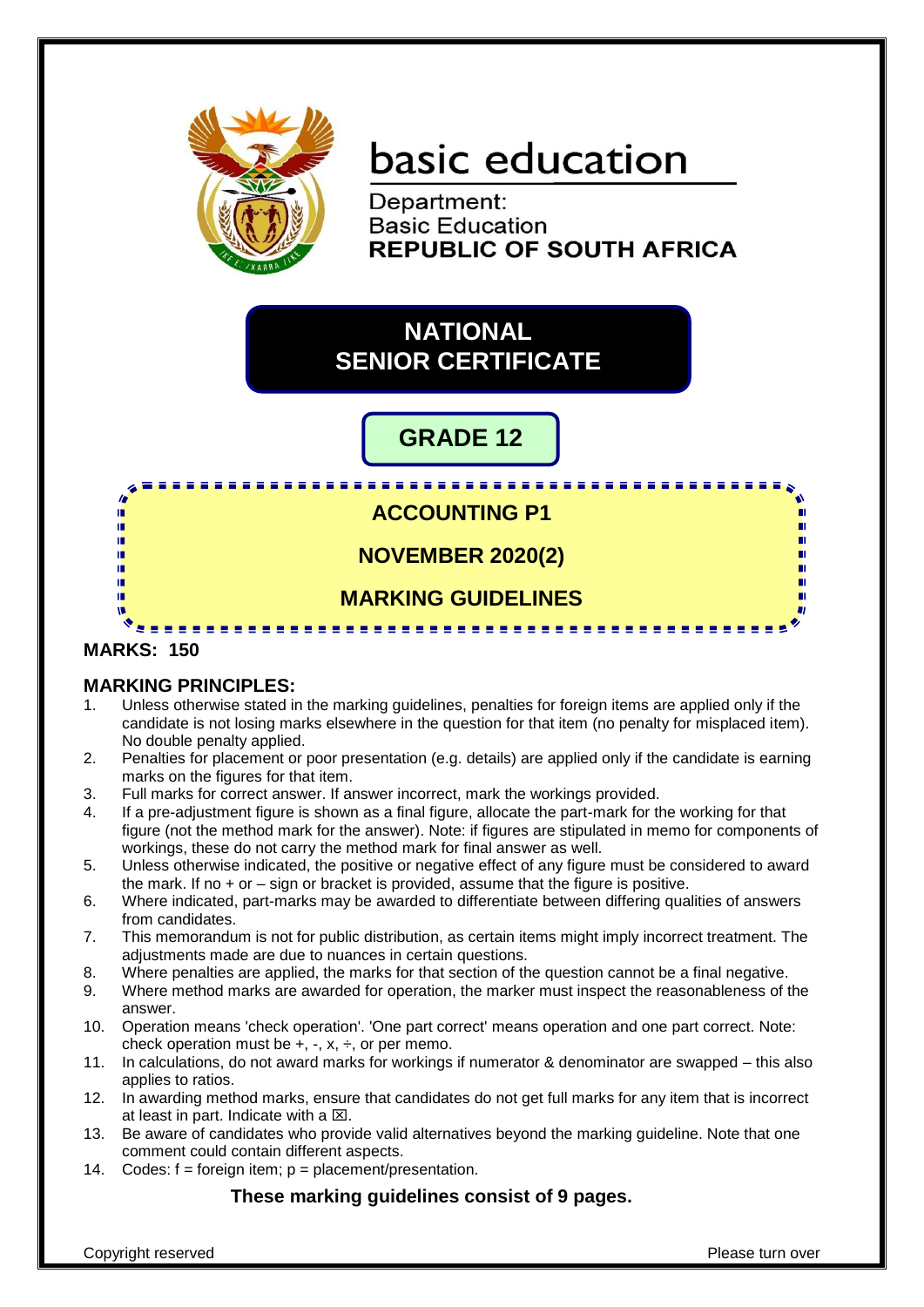

# basic education

Department: **Basic Education REPUBLIC OF SOUTH AFRICA** 

### **NATIONAL SENIOR CERTIFICATE**

## **GRADE 12**

**ACCOUNTING P1**

**NOVEMBER 2020(2)**

### **MARKING GUIDELINES**

---------------

#### **MARKS: 150**

fr. IĖ. 庫 ú. ú. 'n

ú. m

#### **MARKING PRINCIPLES:**

- 1. Unless otherwise stated in the marking guidelines, penalties for foreign items are applied only if the candidate is not losing marks elsewhere in the question for that item (no penalty for misplaced item). No double penalty applied.
- 2. Penalties for placement or poor presentation (e.g. details) are applied only if the candidate is earning marks on the figures for that item.
- 3. Full marks for correct answer. If answer incorrect, mark the workings provided.
- 4. If a pre-adjustment figure is shown as a final figure, allocate the part-mark for the working for that figure (not the method mark for the answer). Note: if figures are stipulated in memo for components of workings, these do not carry the method mark for final answer as well.
- 5. Unless otherwise indicated, the positive or negative effect of any figure must be considered to award the mark. If no + or – sign or bracket is provided, assume that the figure is positive.
- 6. Where indicated, part-marks may be awarded to differentiate between differing qualities of answers from candidates.
- 7. This memorandum is not for public distribution, as certain items might imply incorrect treatment. The adjustments made are due to nuances in certain questions.
- 8. Where penalties are applied, the marks for that section of the question cannot be a final negative.
- 9. Where method marks are awarded for operation, the marker must inspect the reasonableness of the answer.
- 10. Operation means 'check operation'. 'One part correct' means operation and one part correct. Note: check operation must be  $+$ ,  $-$ ,  $x$ ,  $\div$ , or per memo.
- 11. In calculations, do not award marks for workings if numerator & denominator are swapped this also applies to ratios.
- 12. In awarding method marks, ensure that candidates do not get full marks for any item that is incorrect at least in part. Indicate with a  $\boxtimes$ .
- 13. Be aware of candidates who provide valid alternatives beyond the marking guideline. Note that one comment could contain different aspects.
- 14. Codes:  $f =$  foreign item;  $p =$  placement/presentation.

#### **These marking guidelines consist of 9 pages.**

ш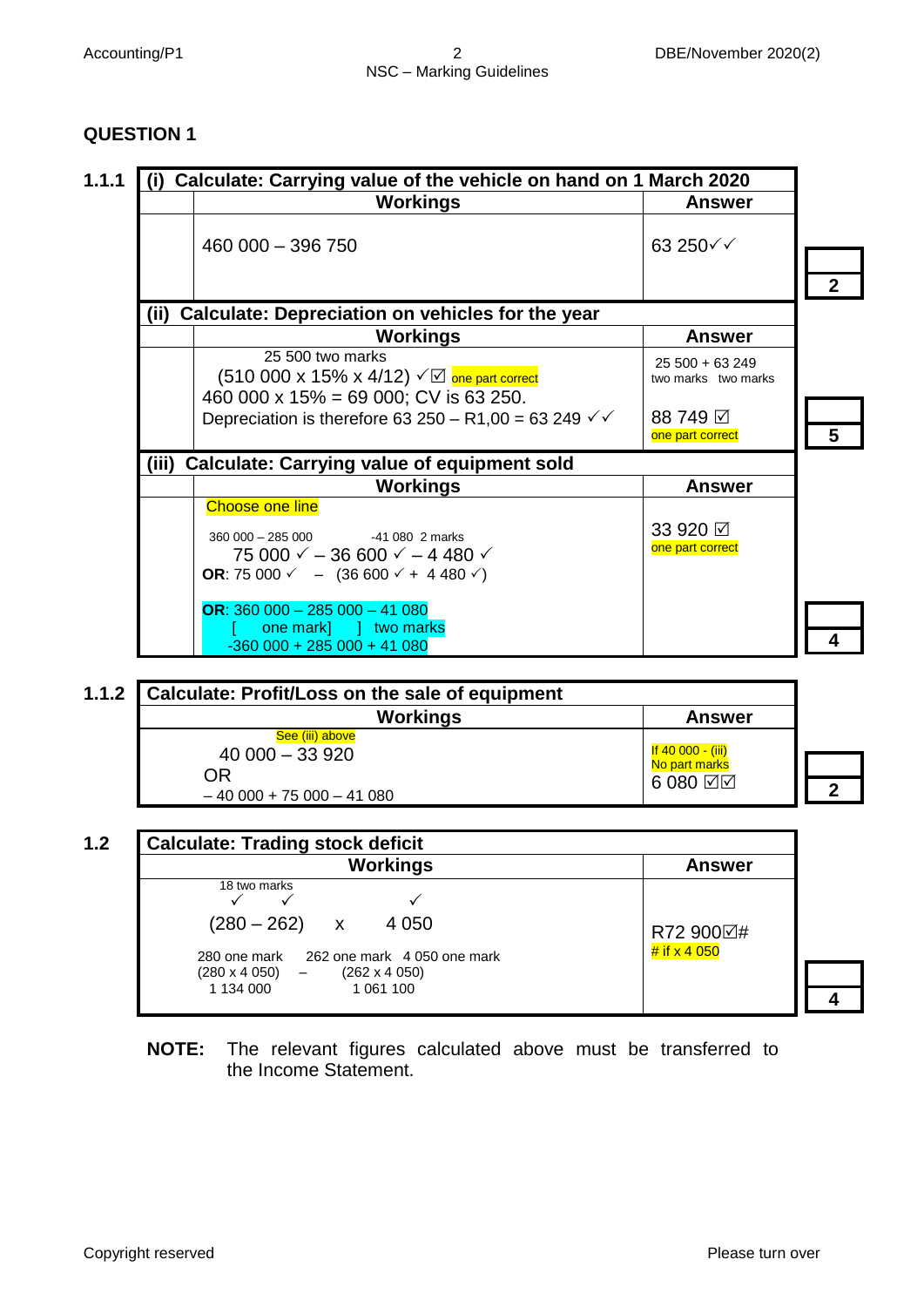#### **QUESTION 1**

| Calculate: Carrying value of the vehicle on hand on 1 March 2020<br>(i)                                                                                                                                   |                                        |
|-----------------------------------------------------------------------------------------------------------------------------------------------------------------------------------------------------------|----------------------------------------|
| Workings                                                                                                                                                                                                  | <b>Answer</b>                          |
| 460 000 - 396 750                                                                                                                                                                                         | $63250\sqrt{}$                         |
|                                                                                                                                                                                                           |                                        |
| Calculate: Depreciation on vehicles for the year<br>(ii)                                                                                                                                                  |                                        |
| Workings                                                                                                                                                                                                  | <b>Answer</b>                          |
| 25 500 two marks<br>(510 000 x 15% x 4/12) $\sqrt{2}$ one part correct                                                                                                                                    | $25500 + 63249$<br>two marks two marks |
| 460 000 x 15% = 69 000; CV is 63 250.                                                                                                                                                                     |                                        |
| Depreciation is therefore 63 250 – R1,00 = 63 249 $\checkmark$                                                                                                                                            | 88 749 ⊠<br>one part correct           |
| (iii)<br><b>Calculate: Carrying value of equipment sold</b>                                                                                                                                               |                                        |
| <b>Workings</b>                                                                                                                                                                                           | <b>Answer</b>                          |
| <b>Choose one line</b><br>$360000 - 285000$<br>-41 080 2 marks<br>75 000 $\checkmark$ - 36 600 $\checkmark$ - 4 480 $\checkmark$<br>OR: 75 000 $\checkmark$ - (36 600 $\checkmark$ + 4 480 $\checkmark$ ) | 33 920 ☑<br>one part correct           |
| OR: $360000 - 285000 - 41080$<br>one mark]   two marks<br>$-360000 + 285000 + 41080$                                                                                                                      |                                        |

| <b>Calculate: Profit/Loss on the sale of equipment</b> |                    |  |
|--------------------------------------------------------|--------------------|--|
| <b>Workings</b>                                        | <b>Answer</b>      |  |
| See (iii) above                                        |                    |  |
| $40000 - 33920$                                        | If $40000 - (iii)$ |  |
| ΟR                                                     | No part marks      |  |
| $-40000 + 75000 - 41080$                               | $6080$ $\boxtimes$ |  |

| <b>Workings</b>                                                                                                          | <b>Answer</b>               |
|--------------------------------------------------------------------------------------------------------------------------|-----------------------------|
| 18 two marks<br>$(280 - 262)$<br>4 0 5 0<br>$\boldsymbol{\mathsf{X}}$                                                    |                             |
| 280 one mark 262 one mark 4 050 one mark<br>$(280 \times 4 \ 050)$ -<br>$(262 \times 4 \ 050)$<br>1 134 000<br>1 061 100 | R72 900⊠#<br># if $x$ 4 050 |

**NOTE:** The relevant figures calculated above must be transferred to the Income Statement.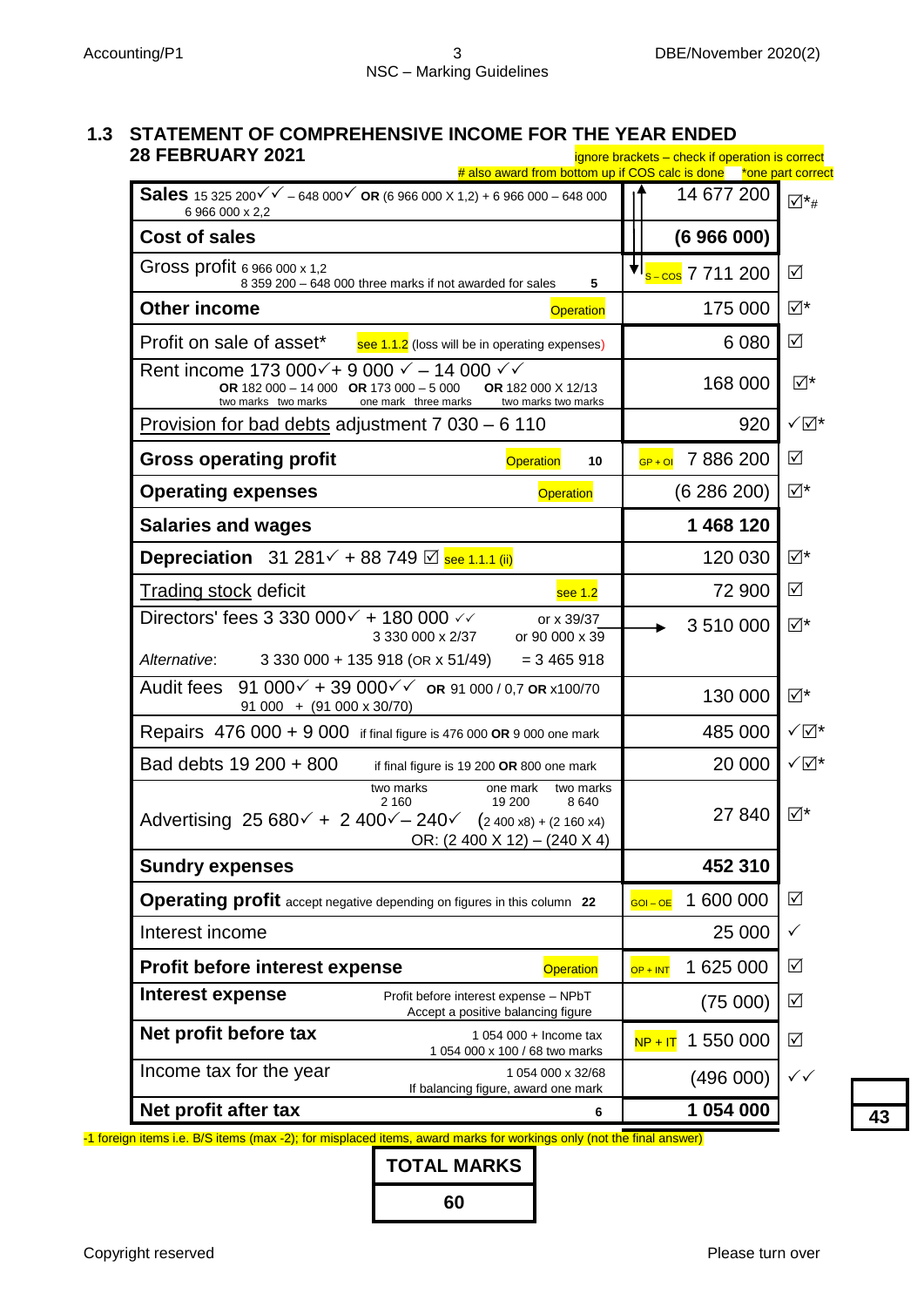# **1.3 STATEMENT OF COMPREHENSIVE INCOME FOR THE YEAR ENDED**

| <b>28 FEBRUARY 2021</b>                                                                                                                                                                                           | ignore brackets - check if operation is correct<br># also award from bottom up if COS calc is done *one part correct |                             |
|-------------------------------------------------------------------------------------------------------------------------------------------------------------------------------------------------------------------|----------------------------------------------------------------------------------------------------------------------|-----------------------------|
| <b>Sales</b> 15 325 200 $\checkmark$ - 648 000 $\checkmark$ OR (6 966 000 X 1,2) + 6 966 000 - 648 000<br>6 966 000 x 2,2                                                                                         | 14 677 200                                                                                                           | $\overline{\mathcal{p}}$ *# |
| <b>Cost of sales</b>                                                                                                                                                                                              | (6966000)                                                                                                            |                             |
| Gross profit 6 966 000 x 1,2<br>8 359 200 - 648 000 three marks if not awarded for sales<br>5                                                                                                                     | <sup>♥I</sup> s <sup>_</sup> cos 7 711 200                                                                           | $\sqrt{}$                   |
| <b>Other income</b><br><b>Operation</b>                                                                                                                                                                           | 175 000                                                                                                              | ⊻⊺∑                         |
| Profit on sale of asset*<br>see 1.1.2 (loss will be in operating expenses)                                                                                                                                        | 6 0 8 0                                                                                                              | $\sqrt{}$                   |
| Rent income 173 000 $\checkmark$ + 9 000 $\checkmark$ – 14 000 $\checkmark$<br>OR 182 000 - 14 000 OR 173 000 - 5 000<br>OR 182 000 X 12/13<br>two marks two marks<br>one mark three marks<br>two marks two marks | 168 000                                                                                                              | ⊻⊺∑                         |
| Provision for bad debts adjustment 7 030 – 6 110                                                                                                                                                                  | 920                                                                                                                  | √⊠*                         |
| <b>Gross operating profit</b><br><b>Operation</b><br>10                                                                                                                                                           | 7886200<br>$\overline{GP + OI}$                                                                                      | ☑                           |
| <b>Operating expenses</b><br><b>Operation</b>                                                                                                                                                                     | (6286200)                                                                                                            | ⊻⊠                          |
| <b>Salaries and wages</b>                                                                                                                                                                                         | 1 468 120                                                                                                            |                             |
| <b>Depreciation</b> 31 281 <del>↓</del> 88 749 $\text{Q}$ see 1.1.1 (ii)                                                                                                                                          | 120 030                                                                                                              | ⊻⊺∑                         |
| <b>Trading stock deficit</b><br>see 1.2                                                                                                                                                                           | 72 900                                                                                                               | $\sqrt{}$                   |
| Directors' fees 3 330 000 $\checkmark$ + 180 000 $\checkmark$<br>or x 39/37<br>or 90 000 x 39<br>3 330 000 x 2/37                                                                                                 | 3510000                                                                                                              | √*                          |
| Alternative:<br>3 330 000 + 135 918 (OR x 51/49)<br>$= 3465918$                                                                                                                                                   |                                                                                                                      |                             |
| Audit fees<br>91 000 $\checkmark$ + 39 000 $\checkmark$ or 91 000 / 0.7 or x100/70<br>$91\ 000 + (91\ 000 \times 30/70)$                                                                                          | 130 000                                                                                                              | ⊻⊺∑                         |
| Repairs 476 000 + 9 000 if final figure is 476 000 OR 9 000 one mark                                                                                                                                              | 485 000                                                                                                              | √⊠*                         |
| Bad debts 19 200 + 800<br>if final figure is 19 200 OR 800 one mark                                                                                                                                               | 20 000                                                                                                               | √⊠*                         |
| two marks<br>one mark<br>two marks<br>19 200<br>8640<br>2 1 6 0<br>Advertising $25680 + 2400 - 240$ $(2400 \times 8) + (2160 \times 4)$<br>OR: $(2\,400\,\text{X}\,12) - (240\,\text{X}\,4)$                      | 27 840                                                                                                               | $\boxtimes^*$               |
| <b>Sundry expenses</b>                                                                                                                                                                                            | 452 310                                                                                                              |                             |
| <b>Operating profit</b> accept negative depending on figures in this column 22                                                                                                                                    | 1 600 000<br>$GOI - OE$                                                                                              | ☑                           |
| Interest income                                                                                                                                                                                                   | 25 000                                                                                                               | ✓                           |
| <b>Profit before interest expense</b><br><b>Operation</b>                                                                                                                                                         | 1 625 000<br>$OP + INT$                                                                                              | ☑                           |
| <b>Interest expense</b><br>Profit before interest expense - NPbT<br>Accept a positive balancing figure                                                                                                            | (75000)                                                                                                              | $\triangledown$             |
| Net profit before tax<br>1 054 000 + Income tax<br>1 054 000 x 100 / 68 two marks                                                                                                                                 | 1 550 000<br>$NP + IT$                                                                                               | ☑                           |
| Income tax for the year<br>1 054 000 x 32/68<br>If balancing figure, award one mark                                                                                                                               | (496 000)                                                                                                            | $\checkmark$                |
| Net profit after tax<br>6                                                                                                                                                                                         | 1 054 000                                                                                                            |                             |



-1 foreign items i.e. B/S items (max -2); for misplaced items, award marks for workings only (not the final answer)

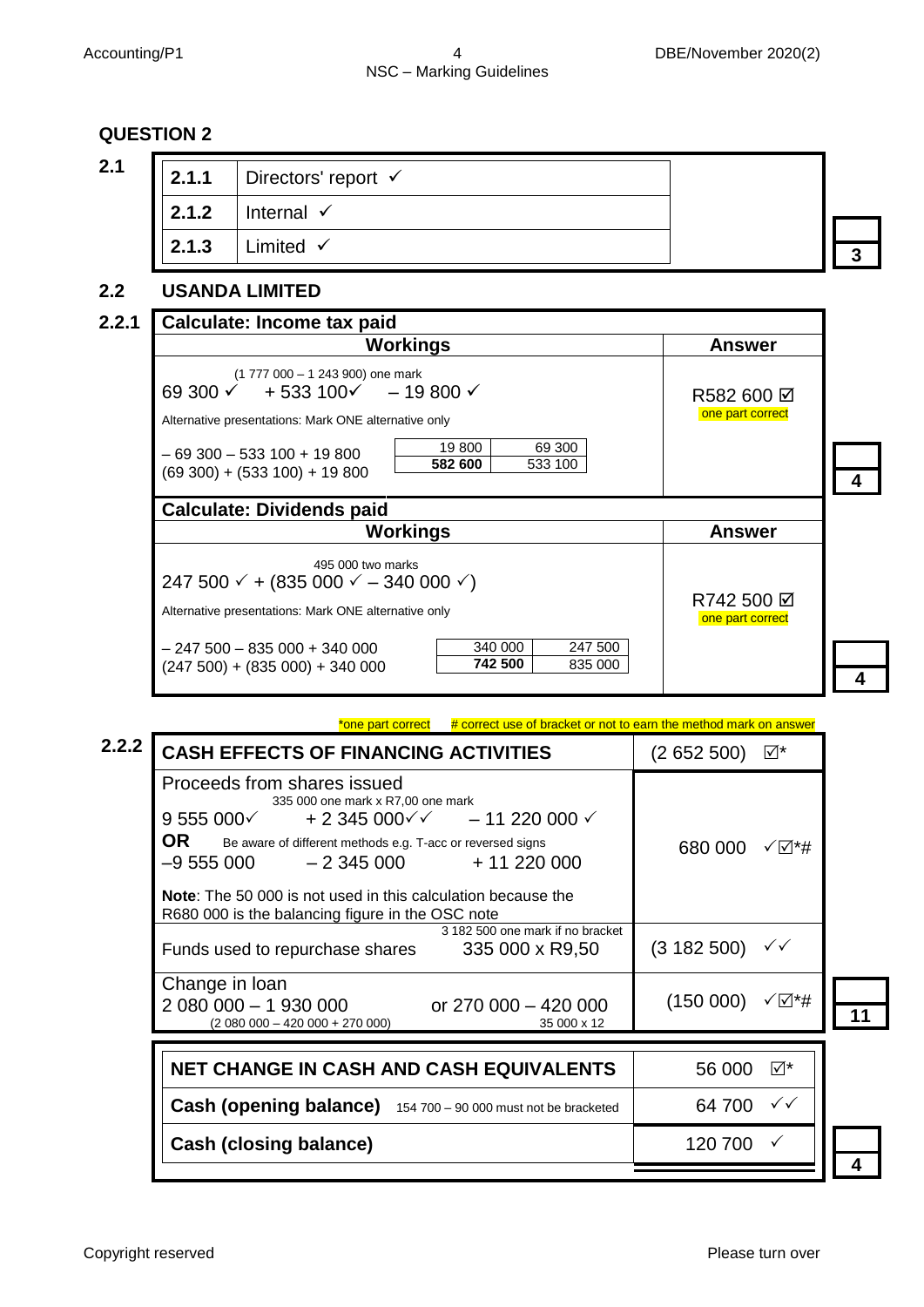#### **QUESTION 2**

| 2.1 | 2.1.1 | Directors' report $\checkmark$ |  |
|-----|-------|--------------------------------|--|
|     | 2.1.2 | Internal $\checkmark$          |  |
|     | 2.1.3 | Limited $\checkmark$           |  |

#### **2.2 USANDA LIMITED**

#### **2.2.1 Calculate: Income tax paid 4 Workings Answer** (1 777 000 – 1 243 900) one mark 69 300  $\times$  + 533 100 $\times$  - 19 800  $\times$ Alternative presentations: Mark ONE alternative only R582 600 Ø one part correct  $-69300 - 533100 + 19800$ (69 300) + (533 100) + 19 800 19 800 69 300 **582 600** 533 100 **Calculate: Dividends paid Workings Answer** 495 000 two marks 247 500  $\checkmark$  + (835 000  $\checkmark$  – 340 000  $\checkmark$ ) Alternative presentations: Mark ONE alternative only  $R742500 \n\boxbox{R}$ one part correct **4**  $-247500 - 835000 + 340000$  $(247 500) + (835 000) + 340 000$ 340 000 247 500 **742 500** 835 000

\*one part correct  $#$  correct use of bracket or not to earn the method mark on answer **2.2.2** CASH EFFECTS OF FINANCING ACTIVITIES (2 652 500)  $\mathbb{Z}^*$ Proceeds from shares issued 335 000 one mark x R7,00 one mark  $9\,555\,000\sqrt{}$  + 2 345 000 $\sqrt{}$  - 11 220 000  $\sqrt{}$ OR Be aware of different methods e.g. T-acc or reversed signs  $-9,555,000$   $-2,345,000$   $+11,220,000$ **Note**: The 50 000 is not used in this calculation because the R680 000 is the balancing figure in the OSC note 680 000 √⊠\*# **11** 3 182 500 one mark if no bracket Funds used to repurchase shares  $335\,000 \times R9,50$  (3 182 500)  $\checkmark$ Change in loan 2 080 000 - 1 930 000<br>2 080 000 - 420 000 + 270 000) 0 35 000 x 12  $(2 080 000 - 420 000 + 270 000)$  $(150000)$   $\sqrt{14}$ **NET CHANGE IN CASH AND CASH EQUIVALENTS** 56 000  $\mathbb{Z}^*$ **Cash (opening balance)** 154 700 – <sup>90</sup> <sup>000</sup> must not be bracketed 64 700 Cash (closing balance) **120 700** √ **4**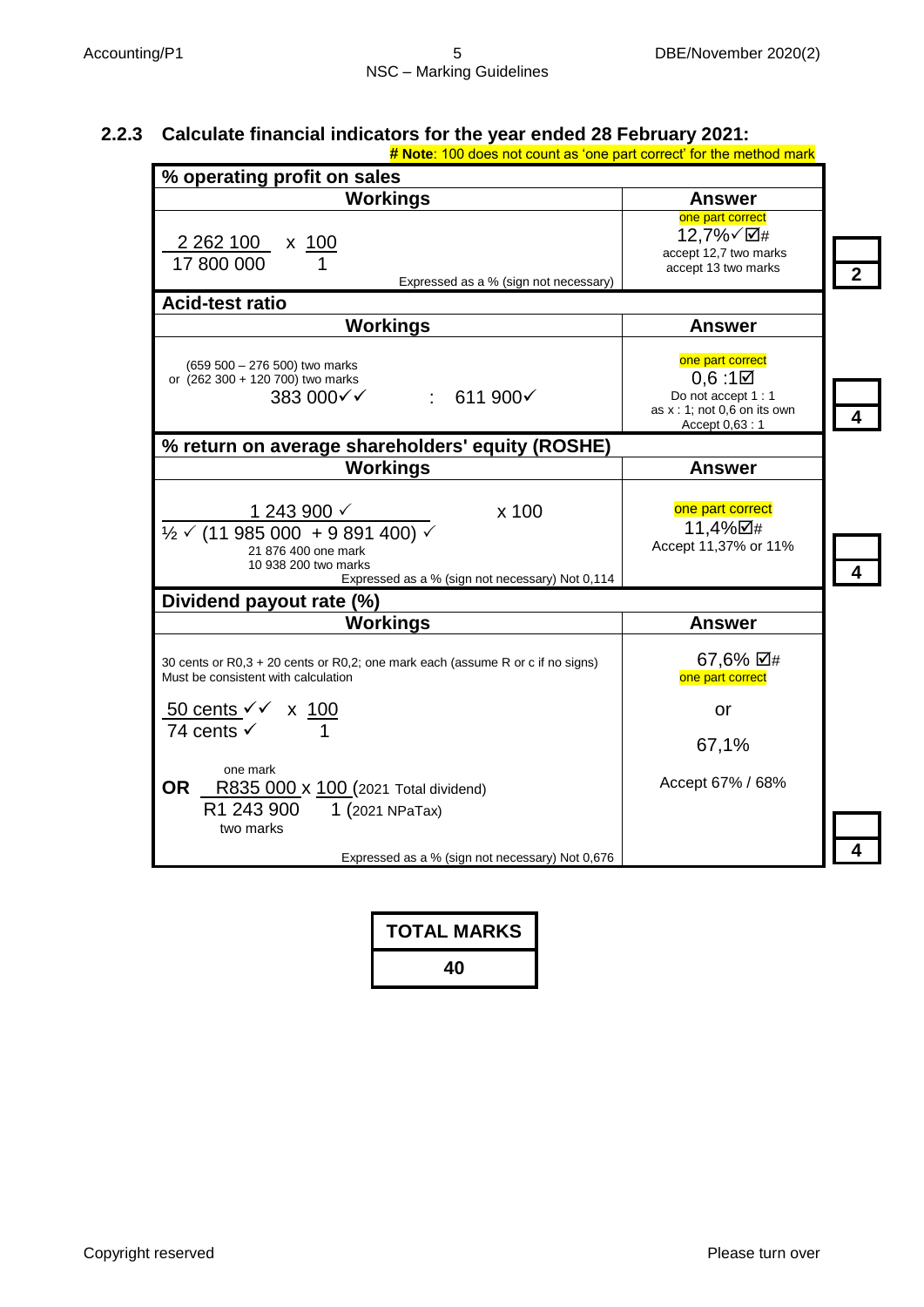### **2.2.3 Calculate financial indicators for the year ended 28 February 2021:**

| # Note: 100 does not count as 'one part correct' for the method mark                                                                                                                        |                                                                                                                   |  |
|---------------------------------------------------------------------------------------------------------------------------------------------------------------------------------------------|-------------------------------------------------------------------------------------------------------------------|--|
| % operating profit on sales                                                                                                                                                                 |                                                                                                                   |  |
| <b>Workings</b>                                                                                                                                                                             | <b>Answer</b>                                                                                                     |  |
| 2 2 6 2 1 0 0<br>x 100<br>17 800 000<br>Expressed as a % (sign not necessary)                                                                                                               | one part correct<br>12,7%√⊠#<br>accept 12,7 two marks<br>accept 13 two marks                                      |  |
| <b>Acid-test ratio</b>                                                                                                                                                                      |                                                                                                                   |  |
| <b>Workings</b>                                                                                                                                                                             | <b>Answer</b>                                                                                                     |  |
| (659 500 - 276 500) two marks<br>or (262 300 + 120 700) two marks<br>383 000√√<br>$\therefore$ 611 900 $\checkmark$                                                                         | one part correct<br>$0,6:1\boxtimes$<br>Do not accept 1 : 1<br>as $x : 1$ ; not 0,6 on its own<br>Accept $0,63:1$ |  |
| % return on average shareholders' equity (ROSHE)                                                                                                                                            |                                                                                                                   |  |
| <b>Workings</b>                                                                                                                                                                             | <b>Answer</b>                                                                                                     |  |
| x 100<br>1 243 900 $\checkmark$<br>$\frac{1}{2}$ $\sqrt{(11985000 + 9891400)}$ $\sqrt{2}$<br>21 876 400 one mark<br>10 938 200 two marks<br>Expressed as a % (sign not necessary) Not 0,114 | one part correct<br>11,4%⊠#<br>Accept 11,37% or 11%                                                               |  |
| Dividend payout rate (%)                                                                                                                                                                    |                                                                                                                   |  |
| <b>Workings</b>                                                                                                                                                                             | <b>Answer</b>                                                                                                     |  |
| 30 cents or R0,3 + 20 cents or R0,2; one mark each (assume R or c if no signs)<br>Must be consistent with calculation                                                                       | 67,6% ⊠#<br>one part correct                                                                                      |  |
| $\frac{50 \text{ cents}}{100}$ x $\frac{100}{100}$                                                                                                                                          | or                                                                                                                |  |
| 74 cents $\checkmark$                                                                                                                                                                       | 67,1%                                                                                                             |  |
| one mark<br>0R<br>R835 000 x 100 (2021 Total dividend)<br>R1 243 900<br>1 (2021 NPaTax)<br>two marks                                                                                        | Accept 67% / 68%                                                                                                  |  |
| Expressed as a % (sign not necessary) Not 0,676                                                                                                                                             |                                                                                                                   |  |

| <b>TOTAL MARKS</b> |
|--------------------|
| 40                 |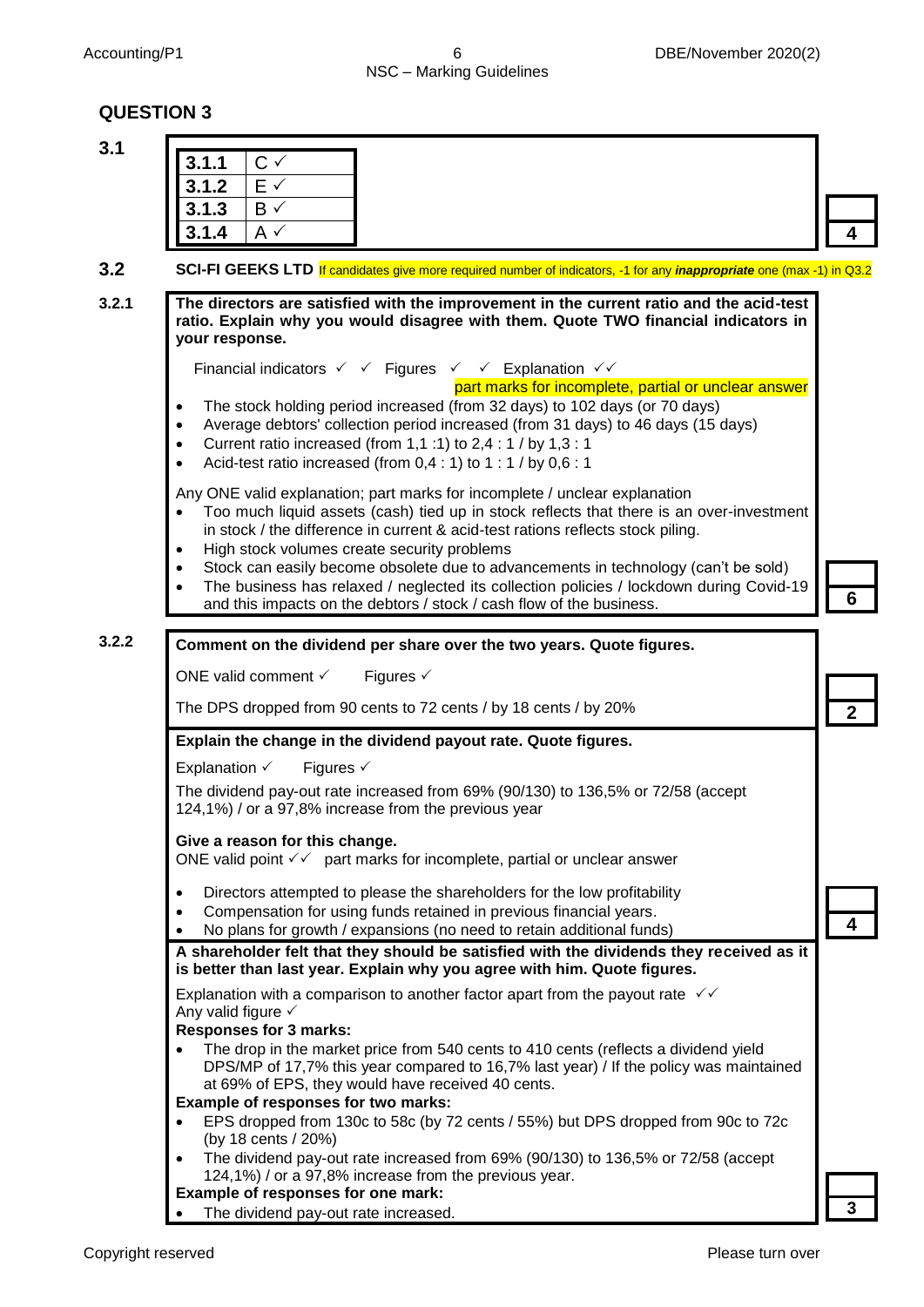#### Accounting/P1 6 6 DBE/November 2020(2) NSC – Marking Guidelines

#### **QUESTION 3**

| 3.1.1<br>3.1.2           | $C \vee$<br>$E \checkmark$                                                                                                                                                                                                                                                                                                                                                                                                                                                                                                                                        |  |
|--------------------------|-------------------------------------------------------------------------------------------------------------------------------------------------------------------------------------------------------------------------------------------------------------------------------------------------------------------------------------------------------------------------------------------------------------------------------------------------------------------------------------------------------------------------------------------------------------------|--|
| 3.1.3<br>3.1.4           | $B \checkmark$<br>$A \vee$                                                                                                                                                                                                                                                                                                                                                                                                                                                                                                                                        |  |
|                          |                                                                                                                                                                                                                                                                                                                                                                                                                                                                                                                                                                   |  |
|                          | SCI-FI GEEKS LTD If candidates give more required number of indicators, -1 for any <i>inappropriate</i> one (max -1) in Q3.2                                                                                                                                                                                                                                                                                                                                                                                                                                      |  |
| your response.           | The directors are satisfied with the improvement in the current ratio and the acid-test<br>ratio. Explain why you would disagree with them. Quote TWO financial indicators in                                                                                                                                                                                                                                                                                                                                                                                     |  |
|                          | Financial indicators $\checkmark$ $\checkmark$ Figures $\checkmark$ $\checkmark$ Explanation $\checkmark\checkmark$                                                                                                                                                                                                                                                                                                                                                                                                                                               |  |
| $\bullet$<br>$\bullet$   | part marks for incomplete, partial or unclear answer<br>The stock holding period increased (from 32 days) to 102 days (or 70 days)<br>Average debtors' collection period increased (from 31 days) to 46 days (15 days)<br>Current ratio increased (from 1,1 :1) to $2,4:1$ / by $1,3:1$<br>Acid-test ratio increased (from 0,4 : 1) to 1 : 1 / by 0,6 : 1                                                                                                                                                                                                         |  |
|                          | Any ONE valid explanation; part marks for incomplete / unclear explanation<br>Too much liquid assets (cash) tied up in stock reflects that there is an over-investment<br>in stock / the difference in current & acid-test rations reflects stock piling.<br>High stock volumes create security problems<br>Stock can easily become obsolete due to advancements in technology (can't be sold)<br>The business has relaxed / neglected its collection policies / lockdown during Covid-19<br>and this impacts on the debtors / stock / cash flow of the business. |  |
|                          | Comment on the dividend per share over the two years. Quote figures.                                                                                                                                                                                                                                                                                                                                                                                                                                                                                              |  |
|                          | ONE valid comment √<br>Figures $\checkmark$                                                                                                                                                                                                                                                                                                                                                                                                                                                                                                                       |  |
|                          | The DPS dropped from 90 cents to 72 cents / by 18 cents / by 20%                                                                                                                                                                                                                                                                                                                                                                                                                                                                                                  |  |
|                          | Explain the change in the dividend payout rate. Quote figures.                                                                                                                                                                                                                                                                                                                                                                                                                                                                                                    |  |
| Explanation $\checkmark$ | Figures $\checkmark$                                                                                                                                                                                                                                                                                                                                                                                                                                                                                                                                              |  |
|                          | The dividend pay-out rate increased from 69% (90/130) to 136,5% or 72/58 (accept<br>124,1%) / or a 97,8% increase from the previous year                                                                                                                                                                                                                                                                                                                                                                                                                          |  |
|                          | Give a reason for this change.<br>ONE valid point $\checkmark\checkmark$ part marks for incomplete, partial or unclear answer                                                                                                                                                                                                                                                                                                                                                                                                                                     |  |
| $\bullet$                | Directors attempted to please the shareholders for the low profitability<br>Compensation for using funds retained in previous financial years.<br>No plans for growth / expansions (no need to retain additional funds)                                                                                                                                                                                                                                                                                                                                           |  |
|                          | A shareholder felt that they should be satisfied with the dividends they received as it<br>is better than last year. Explain why you agree with him. Quote figures.                                                                                                                                                                                                                                                                                                                                                                                               |  |
|                          | Explanation with a comparison to another factor apart from the payout rate $\sqrt{6}$<br>Any valid figure $\checkmark$<br><b>Responses for 3 marks:</b>                                                                                                                                                                                                                                                                                                                                                                                                           |  |
| $\bullet$                | The drop in the market price from 540 cents to 410 cents (reflects a dividend yield<br>DPS/MP of 17,7% this year compared to 16,7% last year) / If the policy was maintained<br>at 69% of EPS, they would have received 40 cents.                                                                                                                                                                                                                                                                                                                                 |  |
|                          | Example of responses for two marks:<br>EPS dropped from 130c to 58c (by 72 cents / 55%) but DPS dropped from 90c to 72c<br>(by 18 cents / 20%)                                                                                                                                                                                                                                                                                                                                                                                                                    |  |
|                          | The dividend pay-out rate increased from 69% (90/130) to 136,5% or 72/58 (accept<br>124,1%) / or a 97,8% increase from the previous year.                                                                                                                                                                                                                                                                                                                                                                                                                         |  |
|                          | Example of responses for one mark:                                                                                                                                                                                                                                                                                                                                                                                                                                                                                                                                |  |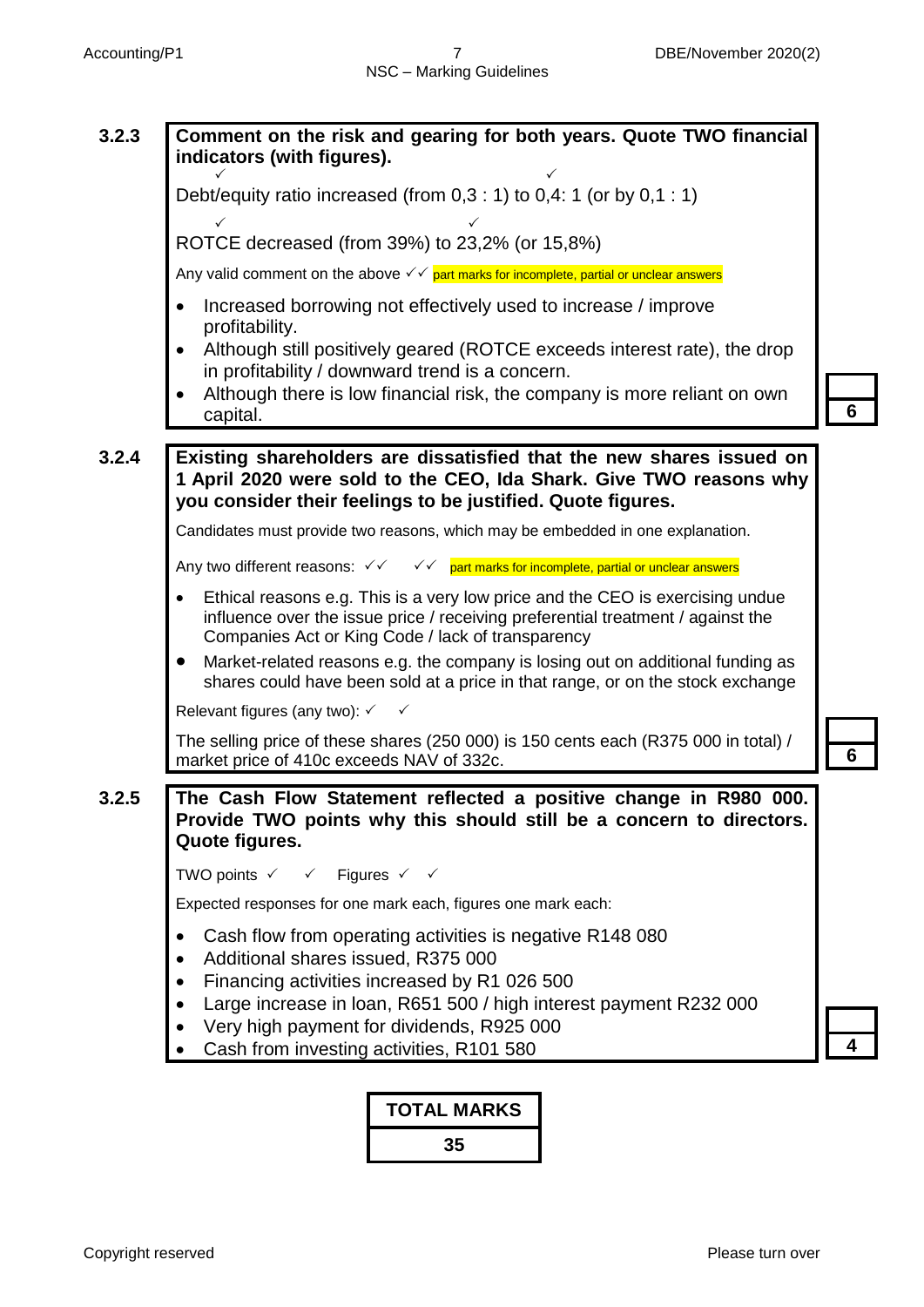

#### **TOTAL MARKS**

**35**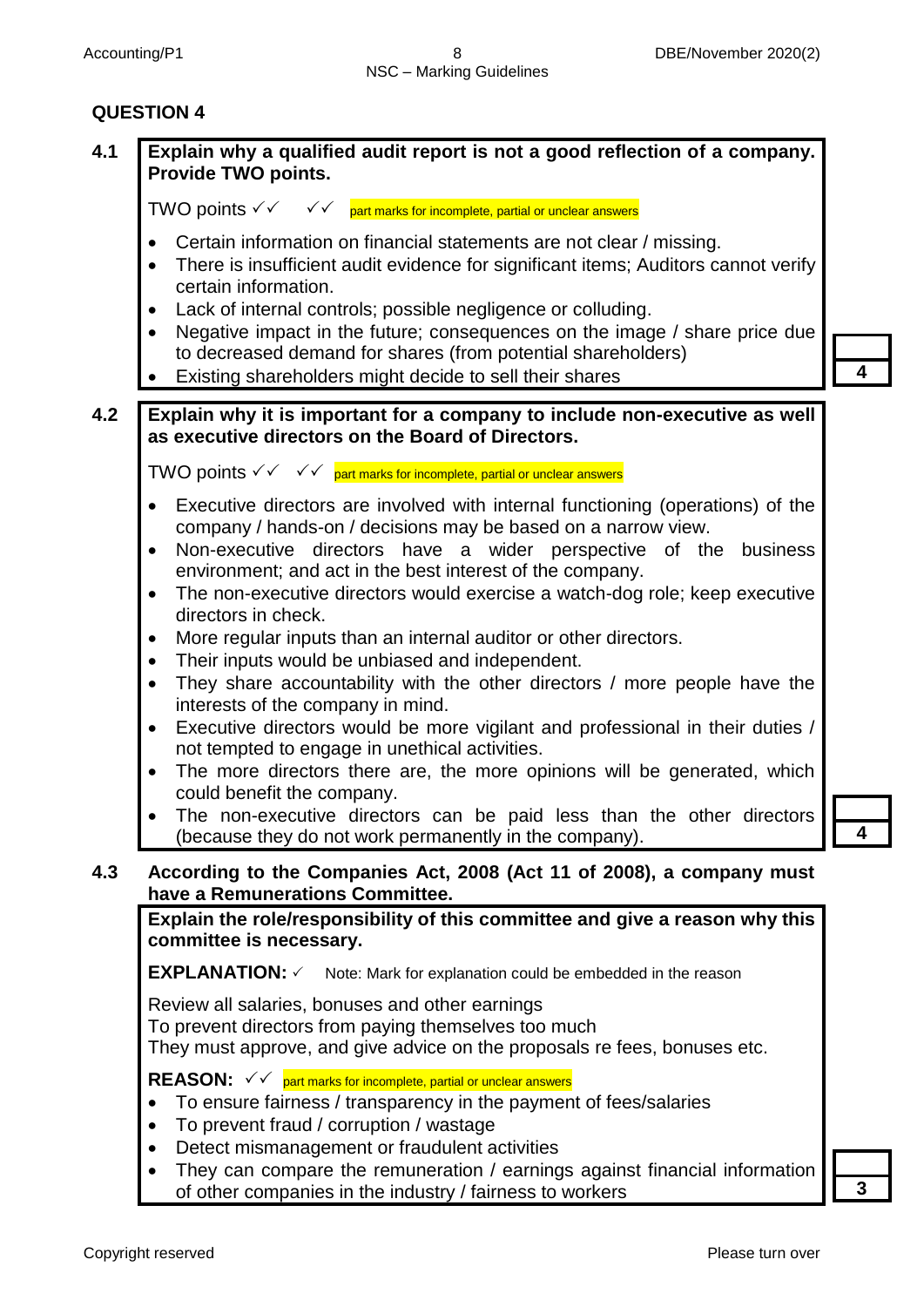#### **QUESTION 4**

### **4.1 Explain why a qualified audit report is not a good reflection of a company. Provide TWO points.** TWO points  $\checkmark\checkmark$   $\checkmark$   $\checkmark$  part marks for incomplete, partial or unclear answers Certain information on financial statements are not clear / missing. • There is insufficient audit evidence for significant items: Auditors cannot verify certain information.

- Lack of internal controls; possible negligence or colluding.
- Negative impact in the future; consequences on the image / share price due to decreased demand for shares (from potential shareholders)
- Existing shareholders might decide to sell their shares **4**

**4.2 Explain why it is important for a company to include non-executive as well as executive directors on the Board of Directors.**

TWO points  $\checkmark\checkmark$  of  $\checkmark$  art marks for incomplete, partial or unclear answers

- Executive directors are involved with internal functioning (operations) of the company / hands-on / decisions may be based on a narrow view.
- Non-executive directors have a wider perspective of the business environment; and act in the best interest of the company.
- The non-executive directors would exercise a watch-dog role; keep executive directors in check.
- More regular inputs than an internal auditor or other directors.
- Their inputs would be unbiased and independent.
- They share accountability with the other directors / more people have the interests of the company in mind.
- Executive directors would be more vigilant and professional in their duties / not tempted to engage in unethical activities.
- The more directors there are, the more opinions will be generated, which could benefit the company.
- The non-executive directors can be paid less than the other directors (because they do not work permanently in the company). **4**
- **4.3 According to the Companies Act, 2008 (Act 11 of 2008), a company must have a Remunerations Committee.**

**Explain the role/responsibility of this committee and give a reason why this committee is necessary.**

**EXPLANATION:** ✓ Note: Mark for explanation could be embedded in the reason

Review all salaries, bonuses and other earnings

To prevent directors from paying themselves too much

They must approve, and give advice on the proposals re fees, bonuses etc.

**REASON:**  $\checkmark$   $\checkmark$  part marks for incomplete, partial or unclear answers

- To ensure fairness / transparency in the payment of fees/salaries
- To prevent fraud / corruption / wastage
- Detect mismanagement or fraudulent activities
- They can compare the remuneration / earnings against financial information of other companies in the industry / fairness to workers **3**